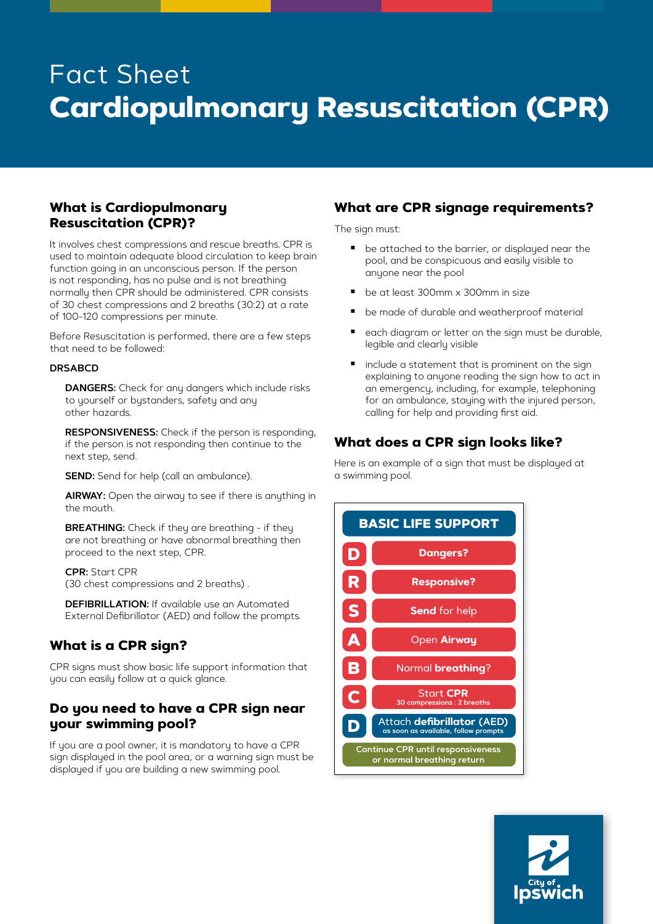# Fact Sheet **Cardiopulmonary Resuscitation (CPR)**

### **What is Cardiopulmonary Resuscitation (CPR)?**

It involves chest compressions and rescue breaths. CPR is used to maintain adequate blood circulation to keep brain function going in an unconscious person. If the person is not responding, has no pulse and is not breathing normally then CPR should be administered. CPR consists of 30 chest compressions and 2 breaths (30:2) at a rate of 100-120 compressions per minute.

Before Resuscitation is performed, there are a few steps that need to be followed:

#### **DRSABCD**

**DANGERS:** Check for any dangers which include risks to yourself or bystanders, safety and any other hazards.

**RESPONSIVENESS:** Check if the person is responding, if the person is not responding then continue to the next step, send.

**SEND:** Send for help (call an ambulance).

**AIRWAY:** Open the airway to see if there is anything in the mouth.

**BREATHING:** Check if they are breathing - if they are not breathing or have abnormal breathing then proceed to the next step, CPR.

#### **CPR:** Start CPR (30 chest compressions and 2 breaths) .

**DEFIBRILLATION:** If available use an Automated External Defibrillator (AED) and follow the prompts.

## **What is a CPR sign?**

CPR signs must show basic life support information that you can easily follow at a quick glance.

## **Do you need to have a CPR sign near your swimming pool?**

If you are a pool owner, it is mandatory to have a CPR sign displayed in the pool area, or a warning sign must be displayed if you are building a new swimming pool.

#### **What are CPR signage requirements?**

The sign must:

- be attached to the barrier, or displayed near the pool, and be conspicuous and easily visible to anyone near the pool
- be at least 300mm x 300mm in size
- be made of durable and weatherproof material
- each diagram or letter on the sign must be durable, legible and clearly visible
- **I** include a statement that is prominent on the sign explaining to anyone reading the sign how to act in an emergency, including, for example, telephoning for an ambulance, staying with the injured person, calling for help and providing first aid.

## **What does a CPR sign looks like?**

Here is an example of a sign that must be displayed at a swimming pool.